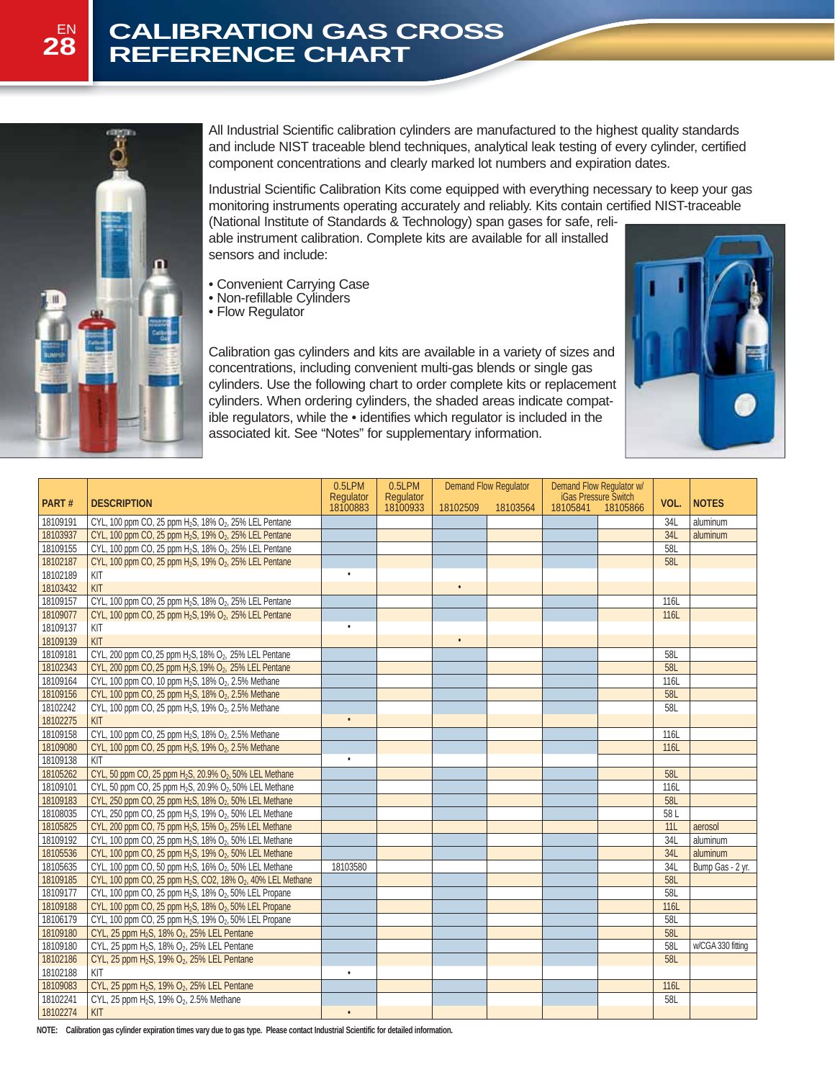## EN

# **28 REFERENCE CHART**



All Industrial Scientific calibration cylinders are manufactured to the highest quality standards and include NIST traceable blend techniques, analytical leak testing of every cylinder, certified component concentrations and clearly marked lot numbers and expiration dates.

Industrial Scientific Calibration Kits come equipped with everything necessary to keep your gas monitoring instruments operating accurately and reliably. Kits contain certified NIST-traceable

(National Institute of Standards & Technology) span gases for safe, reliable instrument calibration. Complete kits are available for all installed sensors and include:

- Convenient Carrying Case
- Non-refillable Cylinders
- Flow Regulator

Calibration gas cylinders and kits are available in a variety of sizes and concentrations, including convenient multi-gas blends or single gas cylinders. Use the following chart to order complete kits or replacement cylinders. When ordering cylinders, the shaded areas indicate compatible regulators, while the • identifies which regulator is included in the associated kit. See "Notes" for supplementary information.



| Regulator<br>18100933<br><b>iGas Pressure Switch</b><br>PART#<br><b>NOTES</b><br><b>DESCRIPTION</b><br>VOL.<br>18100883<br>18105841<br>18102509<br>18103564<br>18105866<br>18109191<br>CYL, 100 ppm CO, 25 ppm H <sub>2</sub> S, 18% O <sub>2</sub> , 25% LEL Pentane<br>34L<br>aluminum<br>CYL, 100 ppm CO, 25 ppm H <sub>2</sub> S, 19% O <sub>2</sub> , 25% LEL Pentane<br>18103937<br>34L<br>aluminum<br>18109155<br>CYL, 100 ppm CO, 25 ppm H <sub>2</sub> S, 18% O <sub>2</sub> , 25% LEL Pentane<br>58L<br>CYL, 100 ppm CO, 25 ppm H <sub>2</sub> S, 19% O <sub>2</sub> , 25% LEL Pentane<br>18102187<br>58L<br>18102189<br>KIT<br>KIT<br>18103432<br>18109157<br>CYL, 100 ppm CO, 25 ppm H <sub>2</sub> S, 18% O <sub>2</sub> , 25% LEL Pentane<br>116L<br>18109077<br>CYL, 100 ppm CO, 25 ppm H <sub>2</sub> S, 19% O <sub>2</sub> , 25% LEL Pentane<br>116L<br>18109137<br>KIT<br>$\bullet$<br>18109139<br>KIT<br>18109181<br>CYL, 200 ppm CO, 25 ppm H <sub>2</sub> S, 18% O <sub>2</sub> , 25% LEL Pentane<br>58L<br>58L<br>18102343<br>CYL, 200 ppm CO, 25 ppm H <sub>2</sub> S, 19% O <sub>2</sub> , 25% LEL Pentane<br>18109164<br>116L<br>CYL, 100 ppm CO, 10 ppm H <sub>2</sub> S, 18% O <sub>2</sub> , 2.5% Methane<br>18109156<br>CYL, 100 ppm CO, 25 ppm H <sub>2</sub> S, 18% O <sub>2</sub> , 2.5% Methane<br>58L<br>18102242<br>CYL, 100 ppm CO, 25 ppm H <sub>2</sub> S, 19% O <sub>2</sub> , 2.5% Methane<br>58L<br>18102275<br>KIT<br>$\bullet$<br>18109158<br>CYL, 100 ppm CO, 25 ppm H <sub>2</sub> S, 18% O <sub>2</sub> , 2.5% Methane<br><b>116L</b><br>18109080<br>CYL, 100 ppm CO, 25 ppm H <sub>2</sub> S, 19% O <sub>2</sub> , 2.5% Methane<br>116L<br>18109138<br>KIT<br>18105262<br>CYL, 50 ppm CO, 25 ppm H <sub>2</sub> S, 20.9% O <sub>2</sub> , 50% LEL Methane<br>58L<br>18109101<br>CYL, 50 ppm CO, 25 ppm H <sub>2</sub> S, 20.9% O <sub>2</sub> , 50% LEL Methane<br>116L<br>18109183<br>CYL, 250 ppm CO, 25 ppm H <sub>2</sub> S, 18% O <sub>2</sub> , 50% LEL Methane<br>58L<br>18108035<br>CYL, 250 ppm CO, 25 ppm H <sub>2</sub> S, 19% O <sub>2</sub> , 50% LEL Methane<br>58 L<br>18105825<br>CYL, 200 ppm CO, 75 ppm H <sub>2</sub> S, 15% O <sub>2</sub> , 25% LEL Methane<br>11L<br>aerosol<br>18109192<br>CYL, 100 ppm CO, 25 ppm H <sub>2</sub> S, 18% O <sub>2</sub> , 50% LEL Methane<br>34L<br>aluminum<br>18105536<br>CYL, 100 ppm CO, 25 ppm H <sub>2</sub> S, 19% O <sub>2</sub> , 50% LEL Methane<br>34L<br>aluminum<br>18105635<br>CYL, 100 ppm CO, 50 ppm H <sub>2</sub> S, 16% O <sub>2</sub> , 50% LEL Methane<br>18103580<br>34L<br>Bump Gas - 2 yr.<br>18109185<br>CYL, 100 ppm CO, 25 ppm H <sub>2</sub> S, CO2, 18% O <sub>2</sub> , 40% LEL Methane<br>58L<br>18109177<br>58L<br>CYL, 100 ppm CO, 25 ppm H <sub>2</sub> S, 18% O <sub>2</sub> , 50% LEL Propane<br>116L<br>18109188<br>CYL, 100 ppm CO, 25 ppm H <sub>2</sub> S, 18% O <sub>2</sub> , 50% LEL Propane<br>18106179<br>CYL, 100 ppm CO, 25 ppm H <sub>2</sub> S, 19% O <sub>2</sub> , 50% LEL Propane<br>58L<br>18109180<br>CYL, 25 ppm H <sub>2</sub> S, 18% O <sub>2</sub> , 25% LEL Pentane<br>58L<br>18109180<br>CYL, 25 ppm H <sub>2</sub> S, 18% O <sub>2</sub> , 25% LEL Pentane<br>58L<br>w/CGA 330 fitting<br>18102186<br>58L<br>CYL, 25 ppm H <sub>2</sub> S, 19% O <sub>2</sub> , 25% LEL Pentane<br>18102188<br>KIT<br>$\bullet$<br>18109083<br>CYL, 25 ppm H <sub>2</sub> S, 19% O <sub>2</sub> , 25% LEL Pentane<br>116L<br>18102241<br>CYL, 25 ppm H <sub>2</sub> S, 19% O <sub>2</sub> , 2.5% Methane<br>581 |          | 0.5LPM    | $0.5$ LPM | <b>Demand Flow Regulator</b> |  | Demand Flow Regulator w/ |  |  |
|--------------------------------------------------------------------------------------------------------------------------------------------------------------------------------------------------------------------------------------------------------------------------------------------------------------------------------------------------------------------------------------------------------------------------------------------------------------------------------------------------------------------------------------------------------------------------------------------------------------------------------------------------------------------------------------------------------------------------------------------------------------------------------------------------------------------------------------------------------------------------------------------------------------------------------------------------------------------------------------------------------------------------------------------------------------------------------------------------------------------------------------------------------------------------------------------------------------------------------------------------------------------------------------------------------------------------------------------------------------------------------------------------------------------------------------------------------------------------------------------------------------------------------------------------------------------------------------------------------------------------------------------------------------------------------------------------------------------------------------------------------------------------------------------------------------------------------------------------------------------------------------------------------------------------------------------------------------------------------------------------------------------------------------------------------------------------------------------------------------------------------------------------------------------------------------------------------------------------------------------------------------------------------------------------------------------------------------------------------------------------------------------------------------------------------------------------------------------------------------------------------------------------------------------------------------------------------------------------------------------------------------------------------------------------------------------------------------------------------------------------------------------------------------------------------------------------------------------------------------------------------------------------------------------------------------------------------------------------------------------------------------------------------------------------------------------------------------------------------------------------------------------------------------------------------------------------------------------------------------------------------------------------------------------------------------------------------------------------------------------------------------------------------------------------------------------------------------------------------------------------------------------------------------------------------------------|----------|-----------|-----------|------------------------------|--|--------------------------|--|--|
|                                                                                                                                                                                                                                                                                                                                                                                                                                                                                                                                                                                                                                                                                                                                                                                                                                                                                                                                                                                                                                                                                                                                                                                                                                                                                                                                                                                                                                                                                                                                                                                                                                                                                                                                                                                                                                                                                                                                                                                                                                                                                                                                                                                                                                                                                                                                                                                                                                                                                                                                                                                                                                                                                                                                                                                                                                                                                                                                                                                                                                                                                                                                                                                                                                                                                                                                                                                                                                                                                                                                                                    |          | Regulator |           |                              |  |                          |  |  |
|                                                                                                                                                                                                                                                                                                                                                                                                                                                                                                                                                                                                                                                                                                                                                                                                                                                                                                                                                                                                                                                                                                                                                                                                                                                                                                                                                                                                                                                                                                                                                                                                                                                                                                                                                                                                                                                                                                                                                                                                                                                                                                                                                                                                                                                                                                                                                                                                                                                                                                                                                                                                                                                                                                                                                                                                                                                                                                                                                                                                                                                                                                                                                                                                                                                                                                                                                                                                                                                                                                                                                                    |          |           |           |                              |  |                          |  |  |
|                                                                                                                                                                                                                                                                                                                                                                                                                                                                                                                                                                                                                                                                                                                                                                                                                                                                                                                                                                                                                                                                                                                                                                                                                                                                                                                                                                                                                                                                                                                                                                                                                                                                                                                                                                                                                                                                                                                                                                                                                                                                                                                                                                                                                                                                                                                                                                                                                                                                                                                                                                                                                                                                                                                                                                                                                                                                                                                                                                                                                                                                                                                                                                                                                                                                                                                                                                                                                                                                                                                                                                    |          |           |           |                              |  |                          |  |  |
|                                                                                                                                                                                                                                                                                                                                                                                                                                                                                                                                                                                                                                                                                                                                                                                                                                                                                                                                                                                                                                                                                                                                                                                                                                                                                                                                                                                                                                                                                                                                                                                                                                                                                                                                                                                                                                                                                                                                                                                                                                                                                                                                                                                                                                                                                                                                                                                                                                                                                                                                                                                                                                                                                                                                                                                                                                                                                                                                                                                                                                                                                                                                                                                                                                                                                                                                                                                                                                                                                                                                                                    |          |           |           |                              |  |                          |  |  |
|                                                                                                                                                                                                                                                                                                                                                                                                                                                                                                                                                                                                                                                                                                                                                                                                                                                                                                                                                                                                                                                                                                                                                                                                                                                                                                                                                                                                                                                                                                                                                                                                                                                                                                                                                                                                                                                                                                                                                                                                                                                                                                                                                                                                                                                                                                                                                                                                                                                                                                                                                                                                                                                                                                                                                                                                                                                                                                                                                                                                                                                                                                                                                                                                                                                                                                                                                                                                                                                                                                                                                                    |          |           |           |                              |  |                          |  |  |
|                                                                                                                                                                                                                                                                                                                                                                                                                                                                                                                                                                                                                                                                                                                                                                                                                                                                                                                                                                                                                                                                                                                                                                                                                                                                                                                                                                                                                                                                                                                                                                                                                                                                                                                                                                                                                                                                                                                                                                                                                                                                                                                                                                                                                                                                                                                                                                                                                                                                                                                                                                                                                                                                                                                                                                                                                                                                                                                                                                                                                                                                                                                                                                                                                                                                                                                                                                                                                                                                                                                                                                    |          |           |           |                              |  |                          |  |  |
|                                                                                                                                                                                                                                                                                                                                                                                                                                                                                                                                                                                                                                                                                                                                                                                                                                                                                                                                                                                                                                                                                                                                                                                                                                                                                                                                                                                                                                                                                                                                                                                                                                                                                                                                                                                                                                                                                                                                                                                                                                                                                                                                                                                                                                                                                                                                                                                                                                                                                                                                                                                                                                                                                                                                                                                                                                                                                                                                                                                                                                                                                                                                                                                                                                                                                                                                                                                                                                                                                                                                                                    |          |           |           |                              |  |                          |  |  |
|                                                                                                                                                                                                                                                                                                                                                                                                                                                                                                                                                                                                                                                                                                                                                                                                                                                                                                                                                                                                                                                                                                                                                                                                                                                                                                                                                                                                                                                                                                                                                                                                                                                                                                                                                                                                                                                                                                                                                                                                                                                                                                                                                                                                                                                                                                                                                                                                                                                                                                                                                                                                                                                                                                                                                                                                                                                                                                                                                                                                                                                                                                                                                                                                                                                                                                                                                                                                                                                                                                                                                                    |          |           |           |                              |  |                          |  |  |
|                                                                                                                                                                                                                                                                                                                                                                                                                                                                                                                                                                                                                                                                                                                                                                                                                                                                                                                                                                                                                                                                                                                                                                                                                                                                                                                                                                                                                                                                                                                                                                                                                                                                                                                                                                                                                                                                                                                                                                                                                                                                                                                                                                                                                                                                                                                                                                                                                                                                                                                                                                                                                                                                                                                                                                                                                                                                                                                                                                                                                                                                                                                                                                                                                                                                                                                                                                                                                                                                                                                                                                    |          |           |           |                              |  |                          |  |  |
|                                                                                                                                                                                                                                                                                                                                                                                                                                                                                                                                                                                                                                                                                                                                                                                                                                                                                                                                                                                                                                                                                                                                                                                                                                                                                                                                                                                                                                                                                                                                                                                                                                                                                                                                                                                                                                                                                                                                                                                                                                                                                                                                                                                                                                                                                                                                                                                                                                                                                                                                                                                                                                                                                                                                                                                                                                                                                                                                                                                                                                                                                                                                                                                                                                                                                                                                                                                                                                                                                                                                                                    |          |           |           |                              |  |                          |  |  |
|                                                                                                                                                                                                                                                                                                                                                                                                                                                                                                                                                                                                                                                                                                                                                                                                                                                                                                                                                                                                                                                                                                                                                                                                                                                                                                                                                                                                                                                                                                                                                                                                                                                                                                                                                                                                                                                                                                                                                                                                                                                                                                                                                                                                                                                                                                                                                                                                                                                                                                                                                                                                                                                                                                                                                                                                                                                                                                                                                                                                                                                                                                                                                                                                                                                                                                                                                                                                                                                                                                                                                                    |          |           |           |                              |  |                          |  |  |
|                                                                                                                                                                                                                                                                                                                                                                                                                                                                                                                                                                                                                                                                                                                                                                                                                                                                                                                                                                                                                                                                                                                                                                                                                                                                                                                                                                                                                                                                                                                                                                                                                                                                                                                                                                                                                                                                                                                                                                                                                                                                                                                                                                                                                                                                                                                                                                                                                                                                                                                                                                                                                                                                                                                                                                                                                                                                                                                                                                                                                                                                                                                                                                                                                                                                                                                                                                                                                                                                                                                                                                    |          |           |           |                              |  |                          |  |  |
|                                                                                                                                                                                                                                                                                                                                                                                                                                                                                                                                                                                                                                                                                                                                                                                                                                                                                                                                                                                                                                                                                                                                                                                                                                                                                                                                                                                                                                                                                                                                                                                                                                                                                                                                                                                                                                                                                                                                                                                                                                                                                                                                                                                                                                                                                                                                                                                                                                                                                                                                                                                                                                                                                                                                                                                                                                                                                                                                                                                                                                                                                                                                                                                                                                                                                                                                                                                                                                                                                                                                                                    |          |           |           |                              |  |                          |  |  |
|                                                                                                                                                                                                                                                                                                                                                                                                                                                                                                                                                                                                                                                                                                                                                                                                                                                                                                                                                                                                                                                                                                                                                                                                                                                                                                                                                                                                                                                                                                                                                                                                                                                                                                                                                                                                                                                                                                                                                                                                                                                                                                                                                                                                                                                                                                                                                                                                                                                                                                                                                                                                                                                                                                                                                                                                                                                                                                                                                                                                                                                                                                                                                                                                                                                                                                                                                                                                                                                                                                                                                                    |          |           |           |                              |  |                          |  |  |
|                                                                                                                                                                                                                                                                                                                                                                                                                                                                                                                                                                                                                                                                                                                                                                                                                                                                                                                                                                                                                                                                                                                                                                                                                                                                                                                                                                                                                                                                                                                                                                                                                                                                                                                                                                                                                                                                                                                                                                                                                                                                                                                                                                                                                                                                                                                                                                                                                                                                                                                                                                                                                                                                                                                                                                                                                                                                                                                                                                                                                                                                                                                                                                                                                                                                                                                                                                                                                                                                                                                                                                    |          |           |           |                              |  |                          |  |  |
|                                                                                                                                                                                                                                                                                                                                                                                                                                                                                                                                                                                                                                                                                                                                                                                                                                                                                                                                                                                                                                                                                                                                                                                                                                                                                                                                                                                                                                                                                                                                                                                                                                                                                                                                                                                                                                                                                                                                                                                                                                                                                                                                                                                                                                                                                                                                                                                                                                                                                                                                                                                                                                                                                                                                                                                                                                                                                                                                                                                                                                                                                                                                                                                                                                                                                                                                                                                                                                                                                                                                                                    |          |           |           |                              |  |                          |  |  |
|                                                                                                                                                                                                                                                                                                                                                                                                                                                                                                                                                                                                                                                                                                                                                                                                                                                                                                                                                                                                                                                                                                                                                                                                                                                                                                                                                                                                                                                                                                                                                                                                                                                                                                                                                                                                                                                                                                                                                                                                                                                                                                                                                                                                                                                                                                                                                                                                                                                                                                                                                                                                                                                                                                                                                                                                                                                                                                                                                                                                                                                                                                                                                                                                                                                                                                                                                                                                                                                                                                                                                                    |          |           |           |                              |  |                          |  |  |
|                                                                                                                                                                                                                                                                                                                                                                                                                                                                                                                                                                                                                                                                                                                                                                                                                                                                                                                                                                                                                                                                                                                                                                                                                                                                                                                                                                                                                                                                                                                                                                                                                                                                                                                                                                                                                                                                                                                                                                                                                                                                                                                                                                                                                                                                                                                                                                                                                                                                                                                                                                                                                                                                                                                                                                                                                                                                                                                                                                                                                                                                                                                                                                                                                                                                                                                                                                                                                                                                                                                                                                    |          |           |           |                              |  |                          |  |  |
|                                                                                                                                                                                                                                                                                                                                                                                                                                                                                                                                                                                                                                                                                                                                                                                                                                                                                                                                                                                                                                                                                                                                                                                                                                                                                                                                                                                                                                                                                                                                                                                                                                                                                                                                                                                                                                                                                                                                                                                                                                                                                                                                                                                                                                                                                                                                                                                                                                                                                                                                                                                                                                                                                                                                                                                                                                                                                                                                                                                                                                                                                                                                                                                                                                                                                                                                                                                                                                                                                                                                                                    |          |           |           |                              |  |                          |  |  |
|                                                                                                                                                                                                                                                                                                                                                                                                                                                                                                                                                                                                                                                                                                                                                                                                                                                                                                                                                                                                                                                                                                                                                                                                                                                                                                                                                                                                                                                                                                                                                                                                                                                                                                                                                                                                                                                                                                                                                                                                                                                                                                                                                                                                                                                                                                                                                                                                                                                                                                                                                                                                                                                                                                                                                                                                                                                                                                                                                                                                                                                                                                                                                                                                                                                                                                                                                                                                                                                                                                                                                                    |          |           |           |                              |  |                          |  |  |
|                                                                                                                                                                                                                                                                                                                                                                                                                                                                                                                                                                                                                                                                                                                                                                                                                                                                                                                                                                                                                                                                                                                                                                                                                                                                                                                                                                                                                                                                                                                                                                                                                                                                                                                                                                                                                                                                                                                                                                                                                                                                                                                                                                                                                                                                                                                                                                                                                                                                                                                                                                                                                                                                                                                                                                                                                                                                                                                                                                                                                                                                                                                                                                                                                                                                                                                                                                                                                                                                                                                                                                    |          |           |           |                              |  |                          |  |  |
|                                                                                                                                                                                                                                                                                                                                                                                                                                                                                                                                                                                                                                                                                                                                                                                                                                                                                                                                                                                                                                                                                                                                                                                                                                                                                                                                                                                                                                                                                                                                                                                                                                                                                                                                                                                                                                                                                                                                                                                                                                                                                                                                                                                                                                                                                                                                                                                                                                                                                                                                                                                                                                                                                                                                                                                                                                                                                                                                                                                                                                                                                                                                                                                                                                                                                                                                                                                                                                                                                                                                                                    |          |           |           |                              |  |                          |  |  |
|                                                                                                                                                                                                                                                                                                                                                                                                                                                                                                                                                                                                                                                                                                                                                                                                                                                                                                                                                                                                                                                                                                                                                                                                                                                                                                                                                                                                                                                                                                                                                                                                                                                                                                                                                                                                                                                                                                                                                                                                                                                                                                                                                                                                                                                                                                                                                                                                                                                                                                                                                                                                                                                                                                                                                                                                                                                                                                                                                                                                                                                                                                                                                                                                                                                                                                                                                                                                                                                                                                                                                                    |          |           |           |                              |  |                          |  |  |
|                                                                                                                                                                                                                                                                                                                                                                                                                                                                                                                                                                                                                                                                                                                                                                                                                                                                                                                                                                                                                                                                                                                                                                                                                                                                                                                                                                                                                                                                                                                                                                                                                                                                                                                                                                                                                                                                                                                                                                                                                                                                                                                                                                                                                                                                                                                                                                                                                                                                                                                                                                                                                                                                                                                                                                                                                                                                                                                                                                                                                                                                                                                                                                                                                                                                                                                                                                                                                                                                                                                                                                    |          |           |           |                              |  |                          |  |  |
|                                                                                                                                                                                                                                                                                                                                                                                                                                                                                                                                                                                                                                                                                                                                                                                                                                                                                                                                                                                                                                                                                                                                                                                                                                                                                                                                                                                                                                                                                                                                                                                                                                                                                                                                                                                                                                                                                                                                                                                                                                                                                                                                                                                                                                                                                                                                                                                                                                                                                                                                                                                                                                                                                                                                                                                                                                                                                                                                                                                                                                                                                                                                                                                                                                                                                                                                                                                                                                                                                                                                                                    |          |           |           |                              |  |                          |  |  |
|                                                                                                                                                                                                                                                                                                                                                                                                                                                                                                                                                                                                                                                                                                                                                                                                                                                                                                                                                                                                                                                                                                                                                                                                                                                                                                                                                                                                                                                                                                                                                                                                                                                                                                                                                                                                                                                                                                                                                                                                                                                                                                                                                                                                                                                                                                                                                                                                                                                                                                                                                                                                                                                                                                                                                                                                                                                                                                                                                                                                                                                                                                                                                                                                                                                                                                                                                                                                                                                                                                                                                                    |          |           |           |                              |  |                          |  |  |
|                                                                                                                                                                                                                                                                                                                                                                                                                                                                                                                                                                                                                                                                                                                                                                                                                                                                                                                                                                                                                                                                                                                                                                                                                                                                                                                                                                                                                                                                                                                                                                                                                                                                                                                                                                                                                                                                                                                                                                                                                                                                                                                                                                                                                                                                                                                                                                                                                                                                                                                                                                                                                                                                                                                                                                                                                                                                                                                                                                                                                                                                                                                                                                                                                                                                                                                                                                                                                                                                                                                                                                    |          |           |           |                              |  |                          |  |  |
|                                                                                                                                                                                                                                                                                                                                                                                                                                                                                                                                                                                                                                                                                                                                                                                                                                                                                                                                                                                                                                                                                                                                                                                                                                                                                                                                                                                                                                                                                                                                                                                                                                                                                                                                                                                                                                                                                                                                                                                                                                                                                                                                                                                                                                                                                                                                                                                                                                                                                                                                                                                                                                                                                                                                                                                                                                                                                                                                                                                                                                                                                                                                                                                                                                                                                                                                                                                                                                                                                                                                                                    |          |           |           |                              |  |                          |  |  |
|                                                                                                                                                                                                                                                                                                                                                                                                                                                                                                                                                                                                                                                                                                                                                                                                                                                                                                                                                                                                                                                                                                                                                                                                                                                                                                                                                                                                                                                                                                                                                                                                                                                                                                                                                                                                                                                                                                                                                                                                                                                                                                                                                                                                                                                                                                                                                                                                                                                                                                                                                                                                                                                                                                                                                                                                                                                                                                                                                                                                                                                                                                                                                                                                                                                                                                                                                                                                                                                                                                                                                                    |          |           |           |                              |  |                          |  |  |
|                                                                                                                                                                                                                                                                                                                                                                                                                                                                                                                                                                                                                                                                                                                                                                                                                                                                                                                                                                                                                                                                                                                                                                                                                                                                                                                                                                                                                                                                                                                                                                                                                                                                                                                                                                                                                                                                                                                                                                                                                                                                                                                                                                                                                                                                                                                                                                                                                                                                                                                                                                                                                                                                                                                                                                                                                                                                                                                                                                                                                                                                                                                                                                                                                                                                                                                                                                                                                                                                                                                                                                    |          |           |           |                              |  |                          |  |  |
|                                                                                                                                                                                                                                                                                                                                                                                                                                                                                                                                                                                                                                                                                                                                                                                                                                                                                                                                                                                                                                                                                                                                                                                                                                                                                                                                                                                                                                                                                                                                                                                                                                                                                                                                                                                                                                                                                                                                                                                                                                                                                                                                                                                                                                                                                                                                                                                                                                                                                                                                                                                                                                                                                                                                                                                                                                                                                                                                                                                                                                                                                                                                                                                                                                                                                                                                                                                                                                                                                                                                                                    |          |           |           |                              |  |                          |  |  |
|                                                                                                                                                                                                                                                                                                                                                                                                                                                                                                                                                                                                                                                                                                                                                                                                                                                                                                                                                                                                                                                                                                                                                                                                                                                                                                                                                                                                                                                                                                                                                                                                                                                                                                                                                                                                                                                                                                                                                                                                                                                                                                                                                                                                                                                                                                                                                                                                                                                                                                                                                                                                                                                                                                                                                                                                                                                                                                                                                                                                                                                                                                                                                                                                                                                                                                                                                                                                                                                                                                                                                                    |          |           |           |                              |  |                          |  |  |
|                                                                                                                                                                                                                                                                                                                                                                                                                                                                                                                                                                                                                                                                                                                                                                                                                                                                                                                                                                                                                                                                                                                                                                                                                                                                                                                                                                                                                                                                                                                                                                                                                                                                                                                                                                                                                                                                                                                                                                                                                                                                                                                                                                                                                                                                                                                                                                                                                                                                                                                                                                                                                                                                                                                                                                                                                                                                                                                                                                                                                                                                                                                                                                                                                                                                                                                                                                                                                                                                                                                                                                    |          |           |           |                              |  |                          |  |  |
|                                                                                                                                                                                                                                                                                                                                                                                                                                                                                                                                                                                                                                                                                                                                                                                                                                                                                                                                                                                                                                                                                                                                                                                                                                                                                                                                                                                                                                                                                                                                                                                                                                                                                                                                                                                                                                                                                                                                                                                                                                                                                                                                                                                                                                                                                                                                                                                                                                                                                                                                                                                                                                                                                                                                                                                                                                                                                                                                                                                                                                                                                                                                                                                                                                                                                                                                                                                                                                                                                                                                                                    |          |           |           |                              |  |                          |  |  |
|                                                                                                                                                                                                                                                                                                                                                                                                                                                                                                                                                                                                                                                                                                                                                                                                                                                                                                                                                                                                                                                                                                                                                                                                                                                                                                                                                                                                                                                                                                                                                                                                                                                                                                                                                                                                                                                                                                                                                                                                                                                                                                                                                                                                                                                                                                                                                                                                                                                                                                                                                                                                                                                                                                                                                                                                                                                                                                                                                                                                                                                                                                                                                                                                                                                                                                                                                                                                                                                                                                                                                                    |          |           |           |                              |  |                          |  |  |
|                                                                                                                                                                                                                                                                                                                                                                                                                                                                                                                                                                                                                                                                                                                                                                                                                                                                                                                                                                                                                                                                                                                                                                                                                                                                                                                                                                                                                                                                                                                                                                                                                                                                                                                                                                                                                                                                                                                                                                                                                                                                                                                                                                                                                                                                                                                                                                                                                                                                                                                                                                                                                                                                                                                                                                                                                                                                                                                                                                                                                                                                                                                                                                                                                                                                                                                                                                                                                                                                                                                                                                    |          |           |           |                              |  |                          |  |  |
|                                                                                                                                                                                                                                                                                                                                                                                                                                                                                                                                                                                                                                                                                                                                                                                                                                                                                                                                                                                                                                                                                                                                                                                                                                                                                                                                                                                                                                                                                                                                                                                                                                                                                                                                                                                                                                                                                                                                                                                                                                                                                                                                                                                                                                                                                                                                                                                                                                                                                                                                                                                                                                                                                                                                                                                                                                                                                                                                                                                                                                                                                                                                                                                                                                                                                                                                                                                                                                                                                                                                                                    |          |           |           |                              |  |                          |  |  |
|                                                                                                                                                                                                                                                                                                                                                                                                                                                                                                                                                                                                                                                                                                                                                                                                                                                                                                                                                                                                                                                                                                                                                                                                                                                                                                                                                                                                                                                                                                                                                                                                                                                                                                                                                                                                                                                                                                                                                                                                                                                                                                                                                                                                                                                                                                                                                                                                                                                                                                                                                                                                                                                                                                                                                                                                                                                                                                                                                                                                                                                                                                                                                                                                                                                                                                                                                                                                                                                                                                                                                                    |          |           |           |                              |  |                          |  |  |
|                                                                                                                                                                                                                                                                                                                                                                                                                                                                                                                                                                                                                                                                                                                                                                                                                                                                                                                                                                                                                                                                                                                                                                                                                                                                                                                                                                                                                                                                                                                                                                                                                                                                                                                                                                                                                                                                                                                                                                                                                                                                                                                                                                                                                                                                                                                                                                                                                                                                                                                                                                                                                                                                                                                                                                                                                                                                                                                                                                                                                                                                                                                                                                                                                                                                                                                                                                                                                                                                                                                                                                    |          |           |           |                              |  |                          |  |  |
| KIT<br>$\bullet$                                                                                                                                                                                                                                                                                                                                                                                                                                                                                                                                                                                                                                                                                                                                                                                                                                                                                                                                                                                                                                                                                                                                                                                                                                                                                                                                                                                                                                                                                                                                                                                                                                                                                                                                                                                                                                                                                                                                                                                                                                                                                                                                                                                                                                                                                                                                                                                                                                                                                                                                                                                                                                                                                                                                                                                                                                                                                                                                                                                                                                                                                                                                                                                                                                                                                                                                                                                                                                                                                                                                                   | 18102274 |           |           |                              |  |                          |  |  |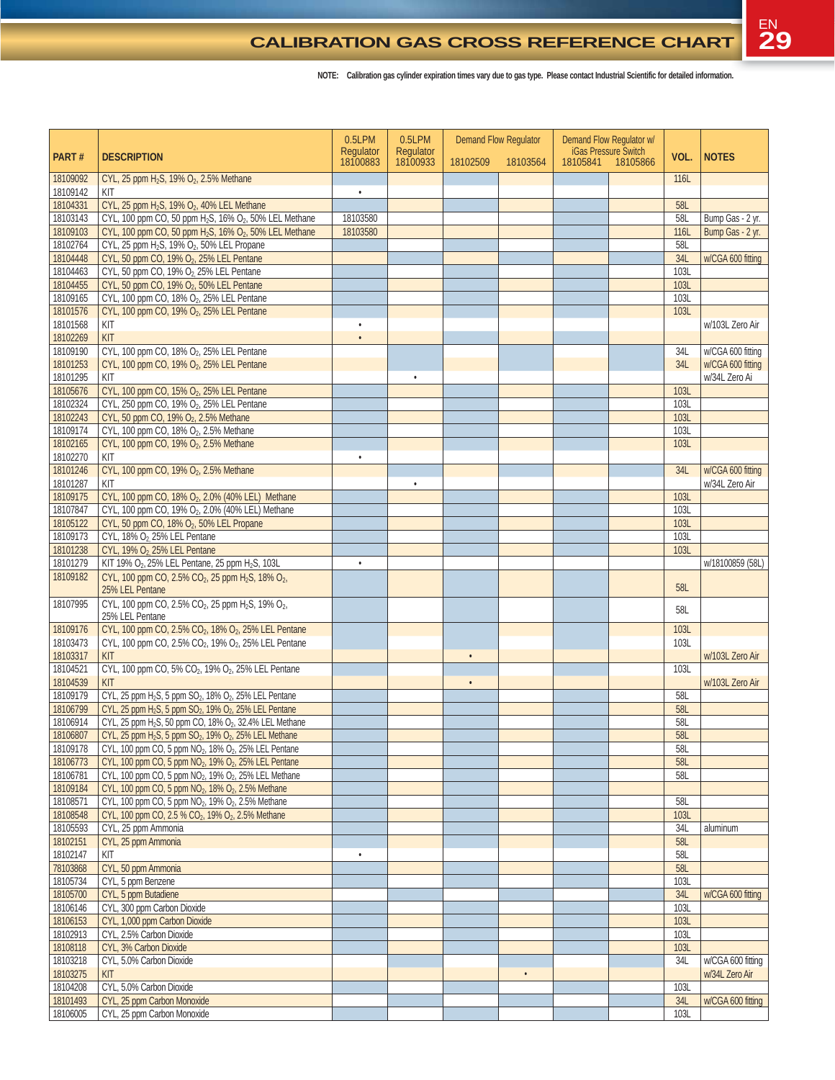#### **CALIBRATION GAS CROSS REFERENCE CHART**

|                      |                                                                                                          | 0.5LPM                | 0.5LPM                | <b>Demand Flow Regulator</b> |           | Demand Flow Regulator w/<br><b>iGas Pressure Switch</b> |                   |             |                                    |
|----------------------|----------------------------------------------------------------------------------------------------------|-----------------------|-----------------------|------------------------------|-----------|---------------------------------------------------------|-------------------|-------------|------------------------------------|
| PART#                | <b>DESCRIPTION</b>                                                                                       | Regulator<br>18100883 | Regulator<br>18100933 | 18102509                     | 18103564  |                                                         | 18105841 18105866 | VOL.        | <b>NOTES</b>                       |
| 18109092<br>18109142 | CYL, 25 ppm H <sub>2</sub> S, 19% O <sub>2</sub> , 2.5% Methane<br>KIT                                   | $\bullet$             |                       |                              |           |                                                         |                   | 116L        |                                    |
| 18104331             | CYL, 25 ppm H <sub>2</sub> S, 19% O <sub>2</sub> , 40% LEL Methane                                       |                       |                       |                              |           |                                                         |                   | 58L         |                                    |
| 18103143             | CYL, 100 ppm CO, 50 ppm H <sub>2</sub> S, 16% O <sub>2</sub> , 50% LEL Methane                           | 18103580              |                       |                              |           |                                                         |                   | 58L         | Bump Gas - 2 yr.                   |
| 18109103             | CYL, 100 ppm CO, 50 ppm H <sub>2</sub> S, 16% O <sub>2</sub> , 50% LEL Methane                           | 18103580              |                       |                              |           |                                                         |                   | 116L        | Bump Gas - 2 yr.                   |
| 18102764             | CYL, 25 ppm H <sub>2</sub> S, 19% O <sub>2</sub> , 50% LEL Propane                                       |                       |                       |                              |           |                                                         |                   | 58L         |                                    |
| 18104448             | CYL, 50 ppm CO, 19% O2, 25% LEL Pentane                                                                  |                       |                       |                              |           |                                                         |                   | 34L         | w/CGA 600 fitting                  |
| 18104463             | CYL, 50 ppm CO, 19% O2, 25% LEL Pentane                                                                  |                       |                       |                              |           |                                                         |                   | <b>103L</b> |                                    |
| 18104455             | CYL, 50 ppm CO, 19% O2, 50% LEL Pentane                                                                  |                       |                       |                              |           |                                                         |                   | <b>103L</b> |                                    |
| 18109165             | CYL, 100 ppm CO, 18% O2, 25% LEL Pentane                                                                 |                       |                       |                              |           |                                                         |                   | 103L        |                                    |
| 18101576             | CYL, 100 ppm CO, 19% O2, 25% LEL Pentane                                                                 |                       |                       |                              |           |                                                         |                   | 103L        |                                    |
| 18101568             | KIT                                                                                                      |                       |                       |                              |           |                                                         |                   |             | w/103L Zero Air                    |
| 18102269             | KIT                                                                                                      |                       |                       |                              |           |                                                         |                   |             |                                    |
| 18109190             | CYL, 100 ppm CO, 18% O2, 25% LEL Pentane                                                                 |                       |                       |                              |           |                                                         |                   | 34L         | w/CGA 600 fitting                  |
| 18101253<br>18101295 | CYL, 100 ppm CO, 19% O2, 25% LEL Pentane<br>KIT                                                          |                       |                       |                              |           |                                                         |                   | 34L         | w/CGA 600 fitting<br>w/34L Zero Ai |
| 18105676             | CYL, 100 ppm CO, 15% O <sub>2</sub> , 25% LEL Pentane                                                    |                       |                       |                              |           |                                                         |                   | 103L        |                                    |
| 18102324             | CYL, 250 ppm CO, 19% O2, 25% LEL Pentane                                                                 |                       |                       |                              |           |                                                         |                   | 103L        |                                    |
| 18102243             | CYL, 50 ppm CO, 19% O2, 2.5% Methane                                                                     |                       |                       |                              |           |                                                         |                   | 103L        |                                    |
| 18109174             | CYL, 100 ppm CO, 18% O2, 2.5% Methane                                                                    |                       |                       |                              |           |                                                         |                   | 103L        |                                    |
| 18102165             | CYL, 100 ppm CO, 19% O <sub>2</sub> , 2.5% Methane                                                       |                       |                       |                              |           |                                                         |                   | 103L        |                                    |
| 18102270             | KIT                                                                                                      | $\bullet$             |                       |                              |           |                                                         |                   |             |                                    |
| 18101246             | CYL, 100 ppm CO, 19% O <sub>2</sub> , 2.5% Methane                                                       |                       |                       |                              |           |                                                         |                   | 34L         | w/CGA 600 fitting                  |
| 18101287             | KIT                                                                                                      |                       |                       |                              |           |                                                         |                   |             | w/34L Zero Air                     |
| 18109175             | CYL, 100 ppm CO, 18% O2, 2.0% (40% LEL) Methane                                                          |                       |                       |                              |           |                                                         |                   | 103L        |                                    |
| 18107847             | CYL, 100 ppm CO, 19% O2, 2.0% (40% LEL) Methane                                                          |                       |                       |                              |           |                                                         |                   | 103L        |                                    |
| 18105122             | CYL, 50 ppm CO, 18% O2, 50% LEL Propane                                                                  |                       |                       |                              |           |                                                         |                   | <b>103L</b> |                                    |
| 18109173             | CYL, 18% O <sub>2</sub> 25% LEL Pentane                                                                  |                       |                       |                              |           |                                                         |                   | 103L        |                                    |
| 18101238             | CYL, 19% O <sub>2</sub> 25% LEL Pentane                                                                  |                       |                       |                              |           |                                                         |                   | 103L        |                                    |
| 18101279             | KIT 19% O <sub>2</sub> , 25% LEL Pentane, 25 ppm H <sub>2</sub> S, 103L                                  |                       |                       |                              |           |                                                         |                   |             | w/18100859 (58L)                   |
| 18109182             | CYL, 100 ppm CO, 2.5% CO <sub>2</sub> , 25 ppm H <sub>2</sub> S, 18% O <sub>2</sub> ,<br>25% LEL Pentane |                       |                       |                              |           |                                                         |                   | 58L         |                                    |
| 18107995             | CYL, 100 ppm CO, 2.5% CO <sub>2</sub> , 25 ppm H <sub>2</sub> S, 19% O <sub>2</sub> ,                    |                       |                       |                              |           |                                                         |                   | 58L         |                                    |
|                      | 25% LEL Pentane                                                                                          |                       |                       |                              |           |                                                         |                   |             |                                    |
| 18109176             | CYL, 100 ppm CO, 2.5% CO <sub>2</sub> , 18% O <sub>2</sub> , 25% LEL Pentane                             |                       |                       |                              |           |                                                         |                   | 103L        |                                    |
| 18103473             | CYL, 100 ppm CO, 2.5% CO <sub>2</sub> , 19% O <sub>2</sub> , 25% LEL Pentane                             |                       |                       |                              |           |                                                         |                   | 103L        |                                    |
| 18103317             | KIT                                                                                                      |                       |                       |                              |           |                                                         |                   |             | w/103L Zero Air                    |
| 18104521             | CYL, 100 ppm CO, 5% CO <sub>2</sub> , 19% O <sub>2</sub> , 25% LEL Pentane                               |                       |                       |                              |           |                                                         |                   | 103L        |                                    |
| 18104539<br>18109179 | KIT<br>CYL, 25 ppm H <sub>2</sub> S, 5 ppm SO <sub>2</sub> , 18% O <sub>2</sub> , 25% LEL Pentane        |                       |                       | $\bullet$                    |           |                                                         |                   | 58L         | w/103L Zero Air                    |
| 18106799             | CYL, 25 ppm H <sub>2</sub> S, 5 ppm SO <sub>2</sub> , 19% O <sub>2</sub> , 25% LEL Pentane               |                       |                       |                              |           |                                                         |                   | 58L         |                                    |
| 18106914             | CYL, 25 ppm H <sub>2</sub> S, 50 ppm CO, 18% O <sub>2</sub> , 32.4% LEL Methane                          |                       |                       |                              |           |                                                         |                   | 58L         |                                    |
| 18106807             | CYL, 25 ppm H <sub>2</sub> S, 5 ppm SO <sub>2</sub> , 19% O <sub>2</sub> , 25% LEL Methane               |                       |                       |                              |           |                                                         |                   | 58L         |                                    |
| 18109178             | CYL, 100 ppm CO, 5 ppm NO <sub>2</sub> , 18% O <sub>2</sub> , 25% LEL Pentane                            |                       |                       |                              |           |                                                         |                   | 58L         |                                    |
| 18106773             | CYL, 100 ppm CO, 5 ppm NO <sub>2</sub> , 19% O <sub>2</sub> , 25% LEL Pentane                            |                       |                       |                              |           |                                                         |                   | <b>58L</b>  |                                    |
| 18106781             | CYL, 100 ppm CO, 5 ppm NO <sub>2</sub> , 19% O <sub>2</sub> , 25% LEL Methane                            |                       |                       |                              |           |                                                         |                   | 58L         |                                    |
| 18109184             | CYL, 100 ppm CO, 5 ppm NO <sub>2</sub> , 18% O <sub>2</sub> , 2.5% Methane                               |                       |                       |                              |           |                                                         |                   |             |                                    |
| 18108571             | CYL, 100 ppm CO, 5 ppm NO <sub>2</sub> , 19% O <sub>2</sub> , 2.5% Methane                               |                       |                       |                              |           |                                                         |                   | 58L         |                                    |
| 18108548             | CYL, 100 ppm CO, 2.5 % CO <sub>2</sub> , 19% O <sub>2</sub> , 2.5% Methane                               |                       |                       |                              |           |                                                         |                   | 103L        |                                    |
| 18105593             | CYL, 25 ppm Ammonia                                                                                      |                       |                       |                              |           |                                                         |                   | 34L         | aluminum                           |
| 18102151             | CYL, 25 ppm Ammonia                                                                                      |                       |                       |                              |           |                                                         |                   | <b>58L</b>  |                                    |
| 18102147             | KIT                                                                                                      | $\bullet$             |                       |                              |           |                                                         |                   | 58L         |                                    |
| 78103868             | CYL, 50 ppm Ammonia                                                                                      |                       |                       |                              |           |                                                         |                   | 58L         |                                    |
| 18105734             | CYL, 5 ppm Benzene                                                                                       |                       |                       |                              |           |                                                         |                   | 103L        |                                    |
| 18105700             | CYL, 5 ppm Butadiene                                                                                     |                       |                       |                              |           |                                                         |                   | 34L         | w/CGA 600 fitting                  |
| 18106146             | CYL, 300 ppm Carbon Dioxide                                                                              |                       |                       |                              |           |                                                         |                   | 103L        |                                    |
| 18106153             | CYL, 1,000 ppm Carbon Dioxide                                                                            |                       |                       |                              |           |                                                         |                   | 103L        |                                    |
| 18102913             | CYL, 2.5% Carbon Dioxide                                                                                 |                       |                       |                              |           |                                                         |                   | 103L        |                                    |
| 18108118             | CYL, 3% Carbon Dioxide                                                                                   |                       |                       |                              |           |                                                         |                   | 103L        |                                    |
| 18103218             | CYL, 5.0% Carbon Dioxide                                                                                 |                       |                       |                              |           |                                                         |                   | 34L         | w/CGA 600 fitting                  |
| 18103275             | KIT                                                                                                      |                       |                       |                              | $\bullet$ |                                                         |                   |             | w/34L Zero Air                     |
| 18104208             | CYL, 5.0% Carbon Dioxide                                                                                 |                       |                       |                              |           |                                                         |                   | 103L        |                                    |
| 18101493             | CYL, 25 ppm Carbon Monoxide                                                                              |                       |                       |                              |           |                                                         |                   | 34L         | w/CGA 600 fitting                  |
| 18106005             | CYL, 25 ppm Carbon Monoxide                                                                              |                       |                       |                              |           |                                                         |                   | 103L        |                                    |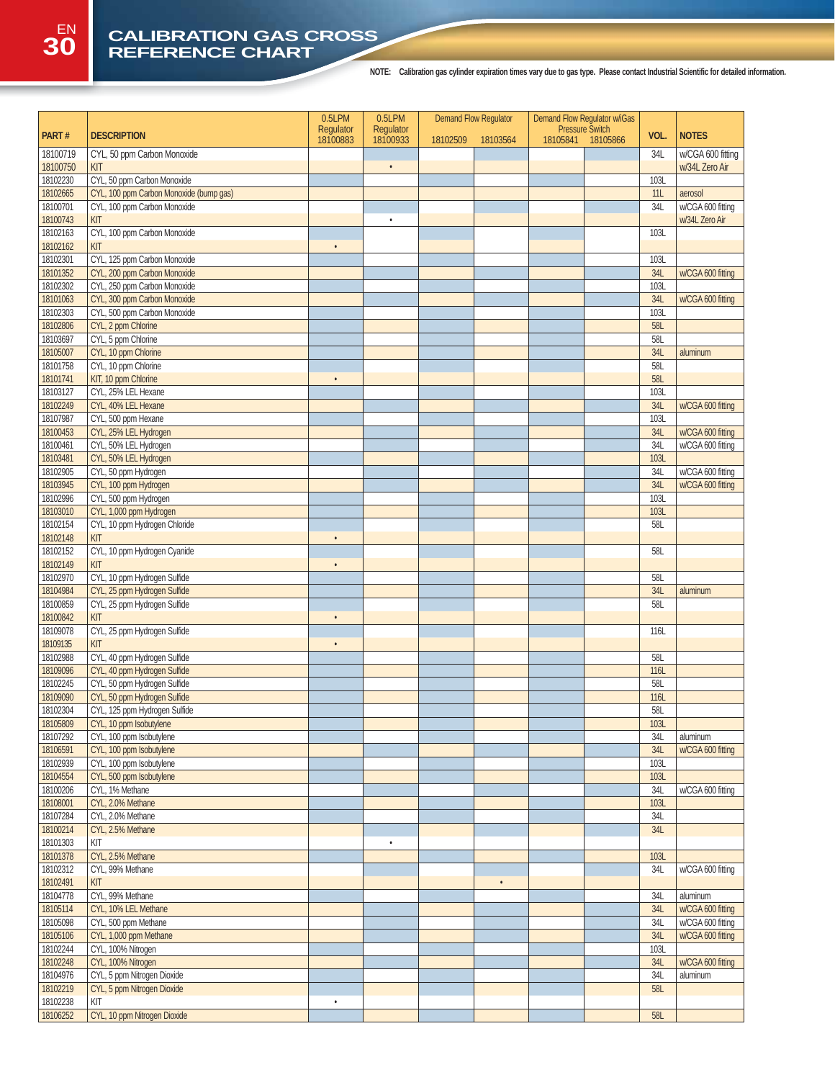### **30 CALIBRATION GAS CROSS REFERENCE CHART**

|                      |                                                     | 0.5LPM    | 0.5LPM    | <b>Demand Flow Regulator</b> |           | Demand Flow Regulator w/iGas |                        |                    |                                     |
|----------------------|-----------------------------------------------------|-----------|-----------|------------------------------|-----------|------------------------------|------------------------|--------------------|-------------------------------------|
| PART#                | <b>DESCRIPTION</b>                                  | Regulator | Regulator |                              |           |                              | <b>Pressure Switch</b> | VOL.               | <b>NOTES</b>                        |
|                      |                                                     | 18100883  | 18100933  | 18102509                     | 18103564  | 18105841                     | 18105866               |                    |                                     |
| 18100719<br>18100750 | CYL, 50 ppm Carbon Monoxide<br>KIT                  |           | $\bullet$ |                              |           |                              |                        | 34L                | w/CGA 600 fitting<br>w/34L Zero Air |
| 18102230             | CYL, 50 ppm Carbon Monoxide                         |           |           |                              |           |                              |                        | 103L               |                                     |
| 18102665             | CYL, 100 ppm Carbon Monoxide (bump gas)             |           |           |                              |           |                              |                        | 11L                | aerosol                             |
| 18100701             | CYL, 100 ppm Carbon Monoxide                        |           |           |                              |           |                              |                        | 34L                | w/CGA 600 fitting                   |
| 18100743             | KIT                                                 |           | $\bullet$ |                              |           |                              |                        |                    | w/34L Zero Air                      |
| 18102163             | CYL, 100 ppm Carbon Monoxide                        |           |           |                              |           |                              |                        | 103L               |                                     |
| 18102162             | KIT                                                 | $\bullet$ |           |                              |           |                              |                        |                    |                                     |
| 18102301             | CYL, 125 ppm Carbon Monoxide                        |           |           |                              |           |                              |                        | 103L               |                                     |
| 18101352             | CYL, 200 ppm Carbon Monoxide                        |           |           |                              |           |                              |                        | 34L                | w/CGA 600 fitting                   |
| 18102302             | CYL, 250 ppm Carbon Monoxide                        |           |           |                              |           |                              |                        | 103L               |                                     |
| 18101063             | CYL, 300 ppm Carbon Monoxide                        |           |           |                              |           |                              |                        | <b>34L</b>         | w/CGA 600 fitting                   |
| 18102303<br>18102806 | CYL, 500 ppm Carbon Monoxide<br>CYL, 2 ppm Chlorine |           |           |                              |           |                              |                        | <b>103L</b><br>58L |                                     |
| 18103697             | CYL, 5 ppm Chlorine                                 |           |           |                              |           |                              |                        | 58L                |                                     |
| 18105007             | CYL, 10 ppm Chlorine                                |           |           |                              |           |                              |                        | 34L                | aluminum                            |
| 18101758             | CYL, 10 ppm Chlorine                                |           |           |                              |           |                              |                        | <b>58L</b>         |                                     |
| 18101741             | KIT, 10 ppm Chlorine                                | $\bullet$ |           |                              |           |                              |                        | <b>58L</b>         |                                     |
| 18103127             | CYL, 25% LEL Hexane                                 |           |           |                              |           |                              |                        | 103L               |                                     |
| 18102249             | CYL, 40% LEL Hexane                                 |           |           |                              |           |                              |                        | 34L                | w/CGA 600 fitting                   |
| 18107987             | CYL, 500 ppm Hexane                                 |           |           |                              |           |                              |                        | 103L               |                                     |
| 18100453             | CYL, 25% LEL Hydrogen                               |           |           |                              |           |                              |                        | 34L                | w/CGA 600 fitting                   |
| 18100461             | CYL, 50% LEL Hydrogen                               |           |           |                              |           |                              |                        | 34L                | w/CGA 600 fitting                   |
| 18103481             | CYL, 50% LEL Hydrogen                               |           |           |                              |           |                              |                        | 103L               |                                     |
| 18102905             | CYL, 50 ppm Hydrogen                                |           |           |                              |           |                              |                        | 34L                | w/CGA 600 fitting                   |
| 18103945             | CYL, 100 ppm Hydrogen                               |           |           |                              |           |                              |                        | 34L                | w/CGA 600 fitting                   |
| 18102996             | CYL, 500 ppm Hydrogen                               |           |           |                              |           |                              |                        | 103L               |                                     |
| 18103010             | CYL, 1,000 ppm Hydrogen                             |           |           |                              |           |                              |                        | 103L               |                                     |
| 18102154             | CYL, 10 ppm Hydrogen Chloride                       |           |           |                              |           |                              |                        | 58L                |                                     |
| 18102148             | KIT                                                 | $\bullet$ |           |                              |           |                              |                        |                    |                                     |
| 18102152<br>18102149 | CYL, 10 ppm Hydrogen Cyanide<br>KIT                 | $\bullet$ |           |                              |           |                              |                        | 58L                |                                     |
| 18102970             | CYL, 10 ppm Hydrogen Sulfide                        |           |           |                              |           |                              |                        | 58L                |                                     |
| 18104984             | CYL, 25 ppm Hydrogen Sulfide                        |           |           |                              |           |                              |                        | <b>34L</b>         | aluminum                            |
| 18100859             | CYL, 25 ppm Hydrogen Sulfide                        |           |           |                              |           |                              |                        | 58L                |                                     |
| 18100842             | KIT                                                 | $\bullet$ |           |                              |           |                              |                        |                    |                                     |
| 18109078             | CYL, 25 ppm Hydrogen Sulfide                        |           |           |                              |           |                              |                        | 116L               |                                     |
| 18109135             | KIT                                                 | $\bullet$ |           |                              |           |                              |                        |                    |                                     |
| 18102988             | CYL, 40 ppm Hydrogen Sulfide                        |           |           |                              |           |                              |                        | 58L                |                                     |
| 18109096             | CYL, 40 ppm Hydrogen Sulfide                        |           |           |                              |           |                              |                        | 116L               |                                     |
| 18102245             | CYL, 50 ppm Hydrogen Sulfide                        |           |           |                              |           |                              |                        | <b>58L</b>         |                                     |
| 18109090             | CYL, 50 ppm Hydrogen Sulfide                        |           |           |                              |           |                              |                        | 116L               |                                     |
| 18102304             | CYL, 125 ppm Hydrogen Sulfide                       |           |           |                              |           |                              |                        | <b>58L</b>         |                                     |
| 18105809             | CYL, 10 ppm Isobutylene                             |           |           |                              |           |                              |                        | 103L               |                                     |
| 18107292             | CYL, 100 ppm Isobutylene                            |           |           |                              |           |                              |                        | 34L                | aluminum                            |
| 18106591             | CYL, 100 ppm Isobutylene                            |           |           |                              |           |                              |                        | 34L                | w/CGA 600 fitting                   |
| 18102939             | CYL, 100 ppm Isobutylene                            |           |           |                              |           |                              |                        | <b>103L</b>        |                                     |
| 18104554<br>18100206 | CYL, 500 ppm Isobutylene<br>CYL, 1% Methane         |           |           |                              |           |                              |                        | 103L<br>34L        | w/CGA 600 fitting                   |
| 18108001             | CYL, 2.0% Methane                                   |           |           |                              |           |                              |                        | 103L               |                                     |
| 18107284             | CYL, 2.0% Methane                                   |           |           |                              |           |                              |                        | 34L                |                                     |
| 18100214             | CYL, 2.5% Methane                                   |           |           |                              |           |                              |                        | 34L                |                                     |
| 18101303             | KIT                                                 |           | $\bullet$ |                              |           |                              |                        |                    |                                     |
| 18101378             | CYL, 2.5% Methane                                   |           |           |                              |           |                              |                        | <b>103L</b>        |                                     |
| 18102312             | CYL, 99% Methane                                    |           |           |                              |           |                              |                        | 34L                | w/CGA 600 fitting                   |
| 18102491             | KIT                                                 |           |           |                              | $\bullet$ |                              |                        |                    |                                     |
| 18104778             | CYL, 99% Methane                                    |           |           |                              |           |                              |                        | 34L                | aluminum                            |
| 18105114             | CYL, 10% LEL Methane                                |           |           |                              |           |                              |                        | 34L                | w/CGA 600 fitting                   |
| 18105098             | CYL, 500 ppm Methane                                |           |           |                              |           |                              |                        | 34L                | w/CGA 600 fitting                   |
| 18105106             | CYL, 1,000 ppm Methane                              |           |           |                              |           |                              |                        | 34L                | w/CGA 600 fitting                   |
| 18102244             | CYL, 100% Nitrogen                                  |           |           |                              |           |                              |                        | 103L               |                                     |
| 18102248             | CYL, 100% Nitrogen                                  |           |           |                              |           |                              |                        | 34L                | w/CGA 600 fitting                   |
| 18104976             | CYL, 5 ppm Nitrogen Dioxide                         |           |           |                              |           |                              |                        | 34L                | aluminum                            |
| 18102219             | CYL, 5 ppm Nitrogen Dioxide                         |           |           |                              |           |                              |                        | 58L                |                                     |
| 18102238             | KIT                                                 | $\bullet$ |           |                              |           |                              |                        |                    |                                     |
| 18106252             | CYL, 10 ppm Nitrogen Dioxide                        |           |           |                              |           |                              |                        | 58L                |                                     |